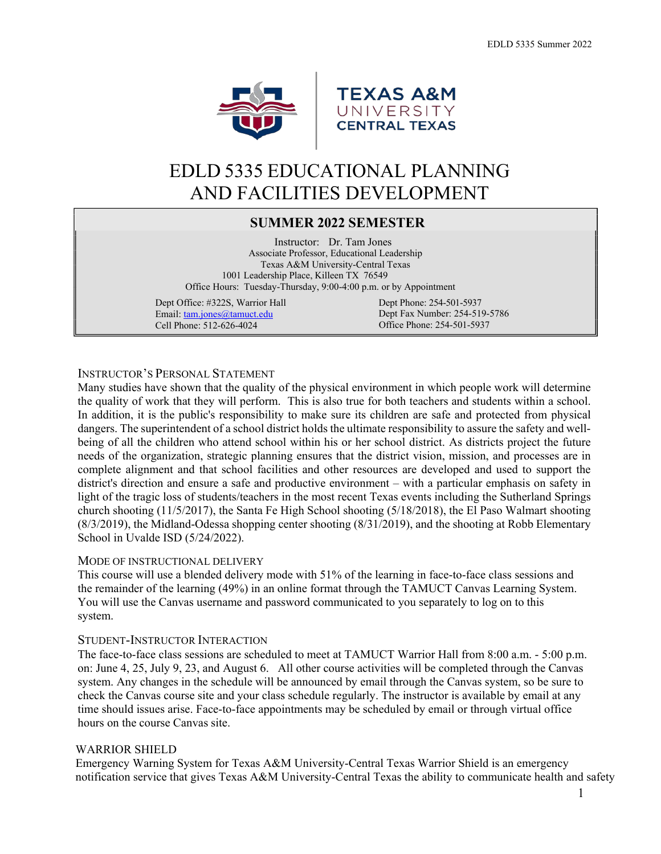



# EDLD 5335 EDUCATIONAL PLANNING AND FACILITIES DEVELOPMENT

# **SUMMER 2022 SEMESTER**

 Instructor: Dr. Tam Jones Associate Professor, Educational Leadership Texas A&M University-Central Texas 1001 Leadership Place, Killeen TX 76549 Office Hours: Tuesday-Thursday, 9:00-4:00 p.m. or by Appointment

Dept Office: #322S, Warrior Hall Email: [tam.jones@tamuct.edu](mailto:tam.jones@tamuct.edu) Cell Phone: 512-626-4024

Dept Phone: 254-501-5937 Dept Fax Number: 254-519-5786 Office Phone: 254-501-5937

# INSTRUCTOR'S PERSONAL STATEMENT

Many studies have shown that the quality of the physical environment in which people work will determine the quality of work that they will perform. This is also true for both teachers and students within a school. In addition, it is the public's responsibility to make sure its children are safe and protected from physical dangers. The superintendent of a school district holds the ultimate responsibility to assure the safety and wellbeing of all the children who attend school within his or her school district. As districts project the future needs of the organization, strategic planning ensures that the district vision, mission, and processes are in complete alignment and that school facilities and other resources are developed and used to support the district's direction and ensure a safe and productive environment – with a particular emphasis on safety in light of the tragic loss of students/teachers in the most recent Texas events including the Sutherland Springs church shooting (11/5/2017), the Santa Fe High School shooting (5/18/2018), the El Paso Walmart shooting (8/3/2019), the Midland-Odessa shopping center shooting (8/31/2019), and the shooting at Robb Elementary School in Uvalde ISD (5/24/2022).

#### MODE OF INSTRUCTIONAL DELIVERY

This course will use a blended delivery mode with 51% of the learning in face-to-face class sessions and the remainder of the learning (49%) in an online format through the TAMUCT Canvas Learning System. You will use the Canvas username and password communicated to you separately to log on to this system.

#### STUDENT-INSTRUCTOR INTERACTION

The face-to-face class sessions are scheduled to meet at TAMUCT Warrior Hall from 8:00 a.m. - 5:00 p.m. on: June 4, 25, July 9, 23, and August 6. All other course activities will be completed through the Canvas system. Any changes in the schedule will be announced by email through the Canvas system, so be sure to check the Canvas course site and your class schedule regularly. The instructor is available by email at any time should issues arise. Face-to-face appointments may be scheduled by email or through virtual office hours on the course Canvas site.

#### WARRIOR SHIELD

Emergency Warning System for Texas A&M University-Central Texas Warrior Shield is an emergency notification service that gives Texas A&M University-Central Texas the ability to communicate health and safety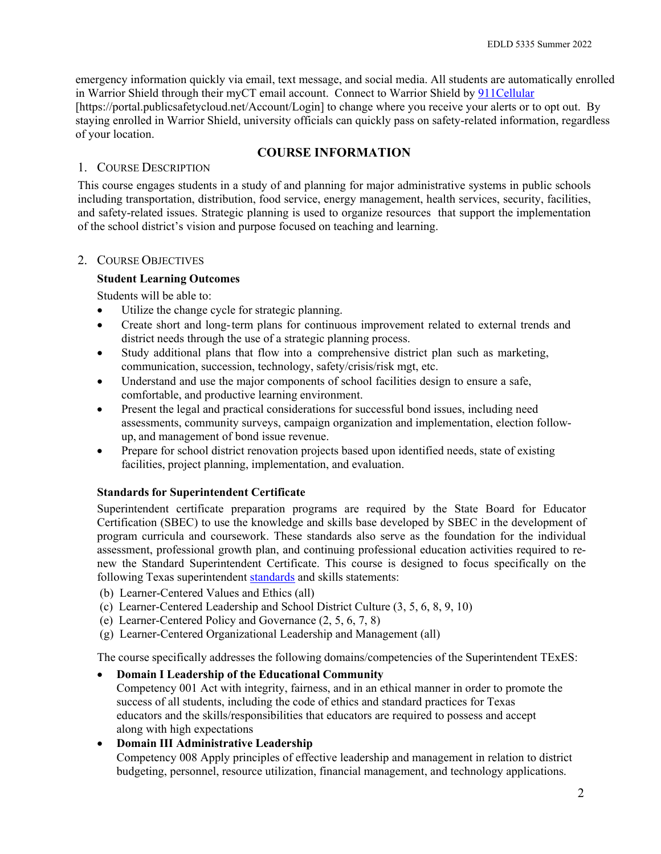emergency information quickly via email, text message, and social media. All students are automatically enrolled in Warrior Shield through their myCT email account. Connect to Warrior Shield by [911Cellular](https://portal.publicsafetycloud.net/Texas-AM-Central/alert-management) [https://portal.publicsafetycloud.net/Account/Login] to change where you receive your alerts or to opt out. By staying enrolled in Warrior Shield, university officials can quickly pass on safety-related information, regardless of your location.

# **COURSE INFORMATION**

# 1. COURSE DESCRIPTION

This course engages students in a study of and planning for major administrative systems in public schools including transportation, distribution, food service, energy management, health services, security, facilities, and safety-related issues. Strategic planning is used to organize resources that support the implementation of the school district's vision and purpose focused on teaching and learning.

# 2. COURSE OBJECTIVES

# **Student Learning Outcomes**

Students will be able to:

- Utilize the change cycle for strategic planning.
- Create short and long-term plans for continuous improvement related to external trends and district needs through the use of a strategic planning process.
- Study additional plans that flow into a comprehensive district plan such as marketing, communication, succession, technology, safety/crisis/risk mgt, etc.
- Understand and use the major components of school facilities design to ensure a safe, comfortable, and productive learning environment.
- Present the legal and practical considerations for successful bond issues, including need assessments, community surveys, campaign organization and implementation, election followup, and management of bond issue revenue.
- Prepare for school district renovation projects based upon identified needs, state of existing facilities, project planning, implementation, and evaluation.

# **Standards for Superintendent Certificate**

Superintendent certificate preparation programs are required by the State Board for Educator Certification (SBEC) to use the knowledge and skills base developed by SBEC in the development of program curricula and coursework. These standards also serve as the foundation for the individual assessment, professional growth plan, and continuing professional education activities required to renew the Standard Superintendent Certificate. This course is designed to focus specifically on the following Texas superintendent [standards](https://tea.texas.gov/sites/default/files/ch242.pdf) and skills statements:

- (b) Learner-Centered Values and Ethics (all)
- (c) Learner-Centered Leadership and School District Culture (3, 5, 6, 8, 9, 10)
- (e) Learner-Centered Policy and Governance (2, 5, 6, 7, 8)
- (g) Learner-Centered Organizational Leadership and Management (all)

The course specifically addresses the following domains/competencies of the Superintendent TExES:

• **Domain I Leadership of the Educational Community**

Competency 001 Act with integrity, fairness, and in an ethical manner in order to promote the success of all students, including the code of ethics and standard practices for Texas educators and the skills/responsibilities that educators are required to possess and accept along with high expectations

# • **Domain III Administrative Leadership**

Competency 008 Apply principles of effective leadership and management in relation to district budgeting, personnel, resource utilization, financial management, and technology applications.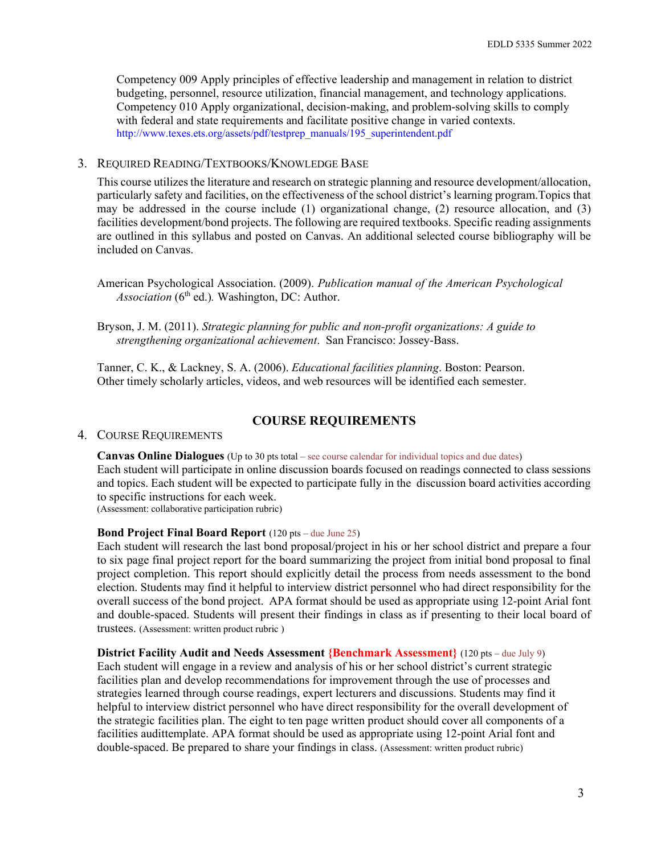Competency 009 Apply principles of effective leadership and management in relation to district budgeting, personnel, resource utilization, financial management, and technology applications. Competency 010 Apply organizational, decision-making, and problem-solving skills to comply with federal and state requirements and facilitate positive change in varied contexts. [http://www.texes.ets.org/assets/pdf/testprep\\_manuals/195\\_superintendent.pdf](http://www.texes.ets.org/assets/pdf/testprep_manuals/195_superintendent.pdf)

#### 3. REQUIRED READING/TEXTBOOKS/KNOWLEDGE BASE

This course utilizes the literature and research on strategic planning and resource development/allocation, particularly safety and facilities, on the effectiveness of the school district's learning program.Topics that may be addressed in the course include (1) organizational change, (2) resource allocation, and (3) facilities development/bond projects. The following are required textbooks. Specific reading assignments are outlined in this syllabus and posted on Canvas. An additional selected course bibliography will be included on Canvas.

American Psychological Association. (2009). *Publication manual of the American Psychological* Association (6<sup>th</sup> ed.). Washington, DC: Author.

Bryson, J. M. (2011). *Strategic planning for public and non-profit organizations: A guide to strengthening organizational achievement*. San Francisco: Jossey-Bass.

Tanner, C. K., & Lackney, S. A. (2006). *Educational facilities planning*. Boston: Pearson. Other timely scholarly articles, videos, and web resources will be identified each semester.

#### **COURSE REQUIREMENTS**

#### 4. COURSE REQUIREMENTS

**Canvas Online Dialogues** (Up to 30 pts total – see course calendar for individual topics and due dates) Each student will participate in online discussion boards focused on readings connected to class sessions and topics. Each student will be expected to participate fully in the discussion board activities according to specific instructions for each week. (Assessment: collaborative participation rubric)

**Bond Project Final Board Report** (120 pts – due June 25)

Each student will research the last bond proposal/project in his or her school district and prepare a four to six page final project report for the board summarizing the project from initial bond proposal to final project completion. This report should explicitly detail the process from needs assessment to the bond election. Students may find it helpful to interview district personnel who had direct responsibility for the overall success of the bond project. APA format should be used as appropriate using 12-point Arial font and double-spaced. Students will present their findings in class as if presenting to their local board of trustees. (Assessment: written product rubric )

#### **District Facility Audit and Needs Assessment {Benchmark Assessment}** (120 pts – due July 9)

Each student will engage in a review and analysis of his or her school district's current strategic facilities plan and develop recommendations for improvement through the use of processes and strategies learned through course readings, expert lecturers and discussions. Students may find it helpful to interview district personnel who have direct responsibility for the overall development of the strategic facilities plan. The eight to ten page written product should cover all components of a facilities audittemplate. APA format should be used as appropriate using 12-point Arial font and double-spaced. Be prepared to share your findings in class. (Assessment: written product rubric)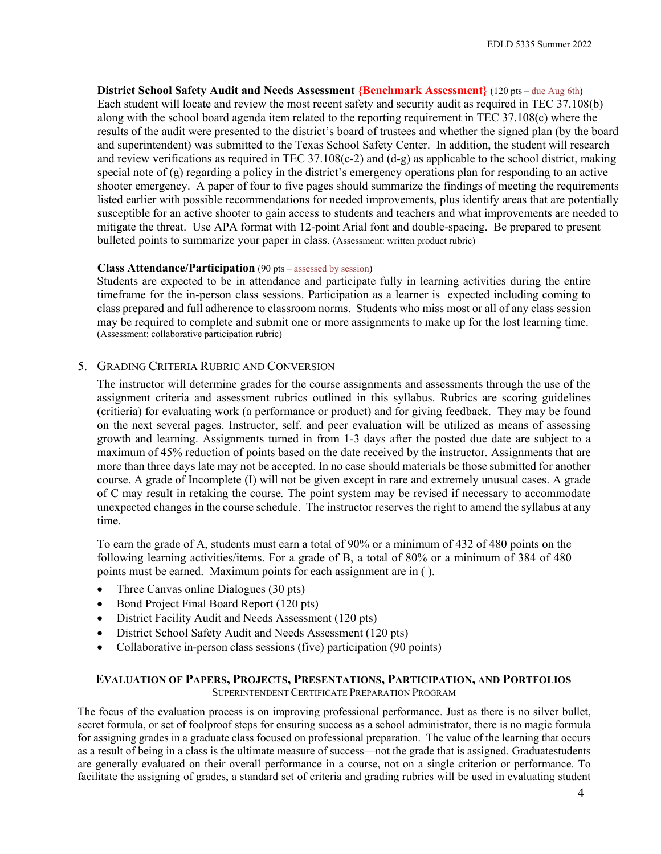**District School Safety Audit and Needs Assessment {Benchmark Assessment}** (120 pts – due Aug 6th) Each student will locate and review the most recent safety and security audit as required in TEC 37.108(b) along with the school board agenda item related to the reporting requirement in TEC 37.108(c) where the results of the audit were presented to the district's board of trustees and whether the signed plan (by the board and superintendent) was submitted to the Texas School Safety Center. In addition, the student will research and review verifications as required in TEC 37.108(c-2) and (d-g) as applicable to the school district, making special note of (g) regarding a policy in the district's emergency operations plan for responding to an active shooter emergency. A paper of four to five pages should summarize the findings of meeting the requirements listed earlier with possible recommendations for needed improvements, plus identify areas that are potentially susceptible for an active shooter to gain access to students and teachers and what improvements are needed to mitigate the threat. Use APA format with 12-point Arial font and double-spacing. Be prepared to present bulleted points to summarize your paper in class. (Assessment: written product rubric)

#### **Class Attendance/Participation** (90 pts – assessed by session)

Students are expected to be in attendance and participate fully in learning activities during the entire timeframe for the in-person class sessions. Participation as a learner is expected including coming to class prepared and full adherence to classroom norms. Students who miss most or all of any class session may be required to complete and submit one or more assignments to make up for the lost learning time. (Assessment: collaborative participation rubric)

#### 5. GRADING CRITERIA RUBRIC AND CONVERSION

The instructor will determine grades for the course assignments and assessments through the use of the assignment criteria and assessment rubrics outlined in this syllabus. Rubrics are scoring guidelines (critieria) for evaluating work (a performance or product) and for giving feedback. They may be found on the next several pages. Instructor, self, and peer evaluation will be utilized as means of assessing growth and learning. Assignments turned in from 1-3 days after the posted due date are subject to a maximum of 45% reduction of points based on the date received by the instructor. Assignments that are more than three days late may not be accepted. In no case should materials be those submitted for another course. A grade of Incomplete (I) will not be given except in rare and extremely unusual cases. A grade of C may result in retaking the course*.* The point system may be revised if necessary to accommodate unexpected changes in the course schedule. The instructor reserves the right to amend the syllabus at any time.

To earn the grade of A, students must earn a total of 90% or a minimum of 432 of 480 points on the following learning activities/items. For a grade of B, a total of 80% or a minimum of 384 of 480 points must be earned. Maximum points for each assignment are in ( ).

- Three Canvas online Dialogues (30 pts)
- Bond Project Final Board Report (120 pts)
- District Facility Audit and Needs Assessment (120 pts)
- District School Safety Audit and Needs Assessment (120 pts)
- Collaborative in-person class sessions (five) participation (90 points)

# **EVALUATION OF PAPERS, PROJECTS, PRESENTATIONS, PARTICIPATION, AND PORTFOLIOS**

SUPERINTENDENT CERTIFICATE PREPARATION PROGRAM

The focus of the evaluation process is on improving professional performance. Just as there is no silver bullet, secret formula, or set of foolproof steps for ensuring success as a school administrator, there is no magic formula for assigning grades in a graduate class focused on professional preparation. The value of the learning that occurs as a result of being in a class is the ultimate measure of success—not the grade that is assigned. Graduatestudents are generally evaluated on their overall performance in a course, not on a single criterion or performance. To facilitate the assigning of grades, a standard set of criteria and grading rubrics will be used in evaluating student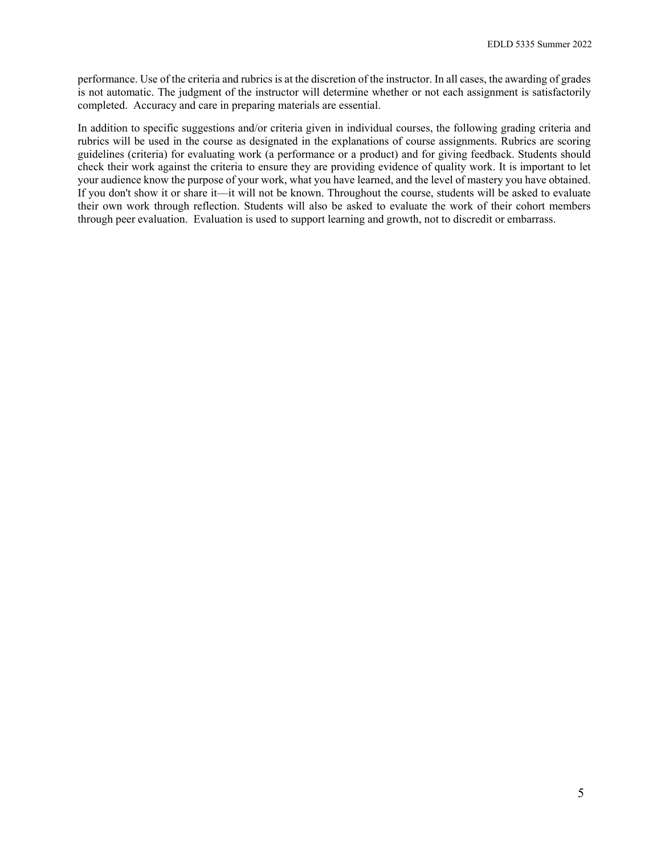performance. Use of the criteria and rubrics is at the discretion of the instructor. In all cases, the awarding of grades is not automatic. The judgment of the instructor will determine whether or not each assignment is satisfactorily completed. Accuracy and care in preparing materials are essential.

In addition to specific suggestions and/or criteria given in individual courses, the following grading criteria and rubrics will be used in the course as designated in the explanations of course assignments. Rubrics are scoring guidelines (criteria) for evaluating work (a performance or a product) and for giving feedback. Students should check their work against the criteria to ensure they are providing evidence of quality work. It is important to let your audience know the purpose of your work, what you have learned, and the level of mastery you have obtained. If you don't show it or share it—it will not be known. Throughout the course, students will be asked to evaluate their own work through reflection. Students will also be asked to evaluate the work of their cohort members through peer evaluation. Evaluation is used to support learning and growth, not to discredit or embarrass.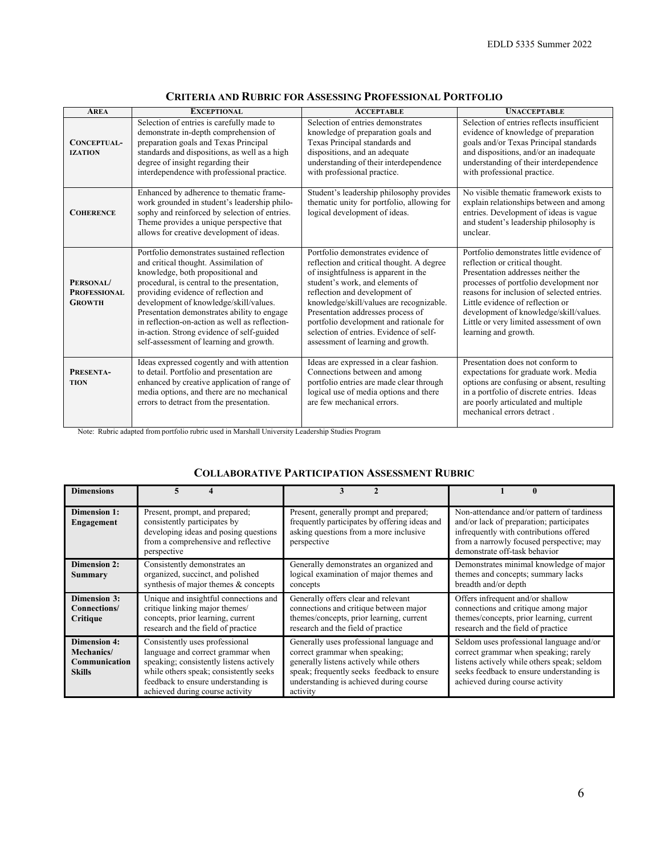| <b>AREA</b>                                       | <b>EXCEPTIONAL</b>                                                                                                                                                                                                                                                                                                                                                                                                                                  | <b>ACCEPTABLE</b>                                                                                                                                                                                                                                                                                                                                                                                        | <b>UNACCEPTABLE</b>                                                                                                                                                                                                                                                                                                                                          |
|---------------------------------------------------|-----------------------------------------------------------------------------------------------------------------------------------------------------------------------------------------------------------------------------------------------------------------------------------------------------------------------------------------------------------------------------------------------------------------------------------------------------|----------------------------------------------------------------------------------------------------------------------------------------------------------------------------------------------------------------------------------------------------------------------------------------------------------------------------------------------------------------------------------------------------------|--------------------------------------------------------------------------------------------------------------------------------------------------------------------------------------------------------------------------------------------------------------------------------------------------------------------------------------------------------------|
| CONCEPTUAL-<br><b>IZATION</b>                     | Selection of entries is carefully made to<br>demonstrate in-depth comprehension of<br>preparation goals and Texas Principal<br>standards and dispositions, as well as a high<br>degree of insight regarding their<br>interdependence with professional practice.                                                                                                                                                                                    | Selection of entries demonstrates<br>knowledge of preparation goals and<br>Texas Principal standards and<br>dispositions, and an adequate<br>understanding of their interdependence<br>with professional practice.                                                                                                                                                                                       | Selection of entries reflects insufficient<br>evidence of knowledge of preparation<br>goals and/or Texas Principal standards<br>and dispositions, and/or an inadequate<br>understanding of their interdependence<br>with professional practice.                                                                                                              |
| <b>COHERENCE</b>                                  | Enhanced by adherence to thematic frame-<br>work grounded in student's leadership philo-<br>sophy and reinforced by selection of entries.<br>Theme provides a unique perspective that<br>allows for creative development of ideas.                                                                                                                                                                                                                  | Student's leadership philosophy provides<br>thematic unity for portfolio, allowing for<br>logical development of ideas.                                                                                                                                                                                                                                                                                  | No visible thematic framework exists to<br>explain relationships between and among<br>entries. Development of ideas is vague<br>and student's leadership philosophy is<br>unclear.                                                                                                                                                                           |
| PERSONAL/<br><b>PROFESSIONAL</b><br><b>GROWTH</b> | Portfolio demonstrates sustained reflection<br>and critical thought. Assimilation of<br>knowledge, both propositional and<br>procedural, is central to the presentation,<br>providing evidence of reflection and<br>development of knowledge/skill/values.<br>Presentation demonstrates ability to engage<br>in reflection-on-action as well as reflection-<br>in-action. Strong evidence of self-guided<br>self-assessment of learning and growth. | Portfolio demonstrates evidence of<br>reflection and critical thought. A degree<br>of insightfulness is apparent in the<br>student's work, and elements of<br>reflection and development of<br>knowledge/skill/values are recognizable.<br>Presentation addresses process of<br>portfolio development and rationale for<br>selection of entries. Evidence of self-<br>assessment of learning and growth. | Portfolio demonstrates little evidence of<br>reflection or critical thought.<br>Presentation addresses neither the<br>processes of portfolio development nor<br>reasons for inclusion of selected entries.<br>Little evidence of reflection or<br>development of knowledge/skill/values.<br>Little or very limited assessment of own<br>learning and growth. |
| PRESENTA-<br><b>TION</b>                          | Ideas expressed cogently and with attention<br>to detail. Portfolio and presentation are<br>enhanced by creative application of range of<br>media options, and there are no mechanical<br>errors to detract from the presentation.                                                                                                                                                                                                                  | Ideas are expressed in a clear fashion.<br>Connections between and among<br>portfolio entries are made clear through<br>logical use of media options and there<br>are few mechanical errors.                                                                                                                                                                                                             | Presentation does not conform to<br>expectations for graduate work. Media<br>options are confusing or absent, resulting<br>in a portfolio of discrete entries. Ideas<br>are poorly articulated and multiple<br>mechanical errors detract.                                                                                                                    |

#### **CRITERIA AND RUBRIC FOR ASSESSING PROFESSIONAL PORTFOLIO**

Note: Rubric adapted from portfolio rubric used in Marshall University Leadership Studies Program

#### **COLLABORATIVE PARTICIPATION ASSESSMENT RUBRIC**

| <b>Dimensions</b>                                                   |                                                                                                                                                                                                                                    |                                                                                                                                                                                                                            |                                                                                                                                                                                                                  |
|---------------------------------------------------------------------|------------------------------------------------------------------------------------------------------------------------------------------------------------------------------------------------------------------------------------|----------------------------------------------------------------------------------------------------------------------------------------------------------------------------------------------------------------------------|------------------------------------------------------------------------------------------------------------------------------------------------------------------------------------------------------------------|
| <b>Dimension 1:</b><br>Engagement                                   | Present, prompt, and prepared;<br>consistently participates by<br>developing ideas and posing questions<br>from a comprehensive and reflective<br>perspective                                                                      | Present, generally prompt and prepared;<br>frequently participates by offering ideas and<br>asking questions from a more inclusive<br>perspective                                                                          | Non-attendance and/or pattern of tardiness<br>and/or lack of preparation; participates<br>infrequently with contributions offered<br>from a narrowly focused perspective; may<br>demonstrate off-task behavior   |
| <b>Dimension 2:</b><br>Summary                                      | Consistently demonstrates an<br>organized, succinct, and polished<br>synthesis of major themes & concepts                                                                                                                          | Generally demonstrates an organized and<br>logical examination of major themes and<br>concepts                                                                                                                             | Demonstrates minimal knowledge of major<br>themes and concepts; summary lacks<br>breadth and/or depth                                                                                                            |
| <b>Dimension 3:</b><br>Connections/<br>Critique                     | Unique and insightful connections and<br>critique linking major themes/<br>concepts, prior learning, current<br>research and the field of practice                                                                                 | Generally offers clear and relevant<br>connections and critique between major<br>themes/concepts, prior learning, current<br>research and the field of practice                                                            | Offers infrequent and/or shallow<br>connections and critique among major<br>themes/concepts, prior learning, current<br>research and the field of practice                                                       |
| <b>Dimension 4:</b><br>Mechanics/<br>Communication<br><b>Skills</b> | Consistently uses professional<br>language and correct grammar when<br>speaking; consistently listens actively<br>while others speak; consistently seeks<br>feedback to ensure understanding is<br>achieved during course activity | Generally uses professional language and<br>correct grammar when speaking;<br>generally listens actively while others<br>speak; frequently seeks feedback to ensure<br>understanding is achieved during course<br>activity | Seldom uses professional language and/or<br>correct grammar when speaking; rarely<br>listens actively while others speak; seldom<br>seeks feedback to ensure understanding is<br>achieved during course activity |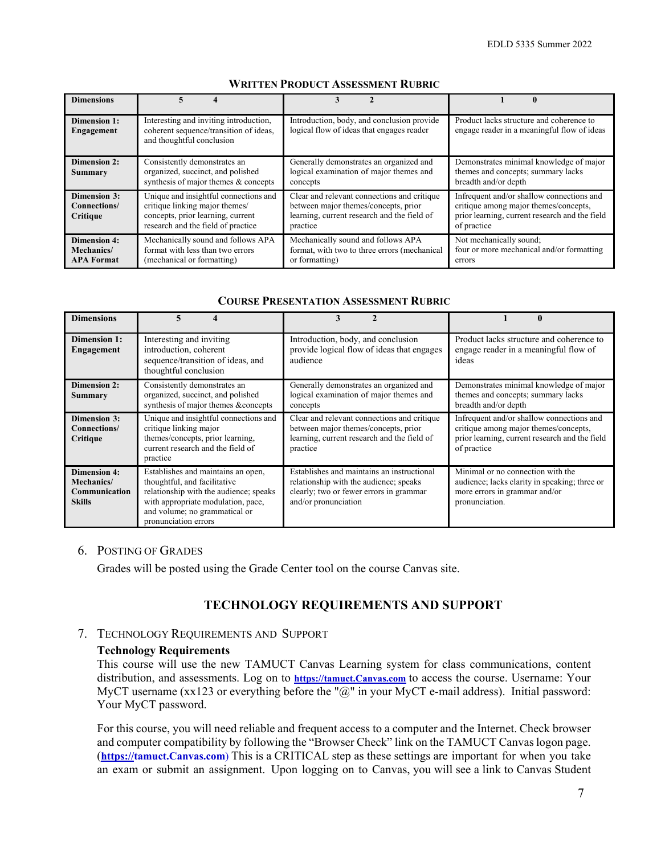| <b>Dimensions</b>                                      |                                                                                                                                                    |                                                                                                                                                |                                                                                                                                                     |
|--------------------------------------------------------|----------------------------------------------------------------------------------------------------------------------------------------------------|------------------------------------------------------------------------------------------------------------------------------------------------|-----------------------------------------------------------------------------------------------------------------------------------------------------|
| <b>Dimension 1:</b><br>Engagement                      | Interesting and inviting introduction,<br>coherent sequence/transition of ideas,<br>and thoughtful conclusion                                      | Introduction, body, and conclusion provide<br>logical flow of ideas that engages reader                                                        | Product lacks structure and coherence to<br>engage reader in a meaningful flow of ideas                                                             |
| <b>Dimension 2:</b><br>Summary                         | Consistently demonstrates an<br>organized, succinct, and polished<br>synthesis of major themes & concepts                                          | Generally demonstrates an organized and<br>logical examination of major themes and<br>concepts                                                 | Demonstrates minimal knowledge of major<br>themes and concepts; summary lacks<br>breadth and/or depth                                               |
| <b>Dimension 3:</b><br>Connections/<br>Critique        | Unique and insightful connections and<br>critique linking major themes/<br>concepts, prior learning, current<br>research and the field of practice | Clear and relevant connections and critique<br>between major themes/concepts, prior<br>learning, current research and the field of<br>practice | Infrequent and/or shallow connections and<br>critique among major themes/concepts,<br>prior learning, current research and the field<br>of practice |
| <b>Dimension 4:</b><br>Mechanics/<br><b>APA Format</b> | Mechanically sound and follows APA<br>format with less than two errors<br>(mechanical or formatting)                                               | Mechanically sound and follows APA<br>format, with two to three errors (mechanical<br>or formatting)                                           | Not mechanically sound;<br>four or more mechanical and/or formatting<br>errors                                                                      |

#### **WRITTEN PRODUCT ASSESSMENT RUBRIC**

#### **COURSE PRESENTATION ASSESSMENT RUBRIC**

| <b>Dimensions</b>                                                   | 5                                                                                                                                                                                                           |                                                                                                                                                         |                                                                                                                                                     |
|---------------------------------------------------------------------|-------------------------------------------------------------------------------------------------------------------------------------------------------------------------------------------------------------|---------------------------------------------------------------------------------------------------------------------------------------------------------|-----------------------------------------------------------------------------------------------------------------------------------------------------|
| Dimension 1:<br>Engagement                                          | Interesting and inviting<br>introduction, coherent<br>sequence/transition of ideas, and<br>thoughtful conclusion                                                                                            | Introduction, body, and conclusion<br>provide logical flow of ideas that engages<br>audience                                                            | Product lacks structure and coherence to<br>engage reader in a meaningful flow of<br>ideas                                                          |
| <b>Dimension 2:</b><br><b>Summary</b>                               | Consistently demonstrates an<br>organized, succinct, and polished<br>synthesis of major themes &concepts                                                                                                    | Generally demonstrates an organized and<br>logical examination of major themes and<br>concepts                                                          | Demonstrates minimal knowledge of major<br>themes and concepts; summary lacks<br>breadth and/or depth                                               |
| Dimension 3:<br>Connections/<br>Critique                            | Unique and insightful connections and<br>critique linking major<br>themes/concepts, prior learning,<br>current research and the field of<br>practice                                                        | Clear and relevant connections and critique<br>between major themes/concepts, prior<br>learning, current research and the field of<br>practice          | Infrequent and/or shallow connections and<br>critique among major themes/concepts,<br>prior learning, current research and the field<br>of practice |
| <b>Dimension 4:</b><br>Mechanics/<br>Communication<br><b>Skills</b> | Establishes and maintains an open,<br>thoughtful, and facilitative<br>relationship with the audience; speaks<br>with appropriate modulation, pace,<br>and volume; no grammatical or<br>pronunciation errors | Establishes and maintains an instructional<br>relationship with the audience; speaks<br>clearly; two or fewer errors in grammar<br>and/or pronunciation | Minimal or no connection with the<br>audience; lacks clarity in speaking; three or<br>more errors in grammar and/or<br>pronunciation.               |

#### 6. POSTING OF GRADES

Grades will be posted using the Grade Center tool on the course Canvas site.

#### **TECHNOLOGY REQUIREMENTS AND SUPPORT**

#### 7. TECHNOLOGY REQUIREMENTS AND SUPPORT

#### **Technology Requirements**

This course will use the new TAMUCT Canvas Learning system for class communications, content distribution, and assessments. Log on to **[https://tamuct.Canvas.com](https://tamuct.blackboard.com/)** to access the course. Username: Your MyCT username (xx123 or everything before the "@" in your MyCT e-mail address). Initial password: Your MyCT password.

For this course, you will need reliable and frequent access to a computer and the Internet. Check browser and computer compatibility by following the "Browser Check" link on the TAMUCT Canvas logon page. (**https://tamuct.Canvas.com**) This is a CRITICAL step as these settings are important for when you take an exam or submit an assignment. Upon logging on to Canvas, you will see a link to Canvas Student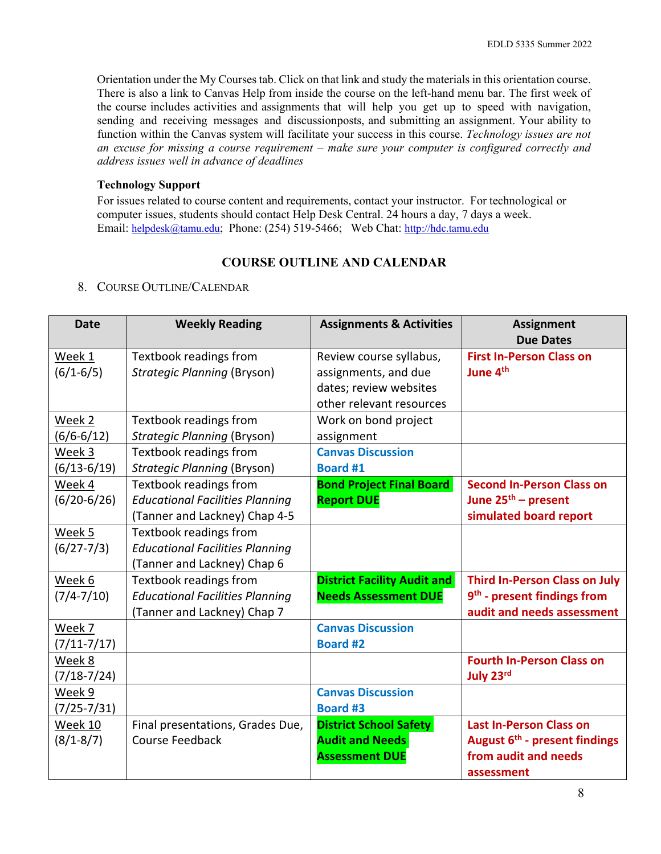Orientation under the My Courses tab. Click on that link and study the materials in this orientation course. There is also a link to Canvas Help from inside the course on the left-hand menu bar. The first week of the course includes activities and assignments that will help you get up to speed with navigation, sending and receiving messages and discussionposts, and submitting an assignment. Your ability to function within the Canvas system will facilitate your success in this course. *Technology issues are not an excuse for missing a course requirement – make sure your computer is configured correctly and address issues well in advance of deadlines*

# **Technology Support**

For issues related to course content and requirements, contact your instructor. For technological or computer issues, students should contact Help Desk Central. 24 hours a day, 7 days a week. Email: [helpdesk@tamu.edu;](mailto:helpdesk@tamu.edu) Phone: (254) 519-5466; Web Chat: [http://hdc.tamu.edu](http://hdc.tamu.edu/)

# **COURSE OUTLINE AND CALENDAR**

# 8. COURSE OUTLINE/CALENDAR

| <b>Date</b>               | <b>Weekly Reading</b>                                                                             | <b>Assignments &amp; Activities</b>                                                                   | <b>Assignment</b><br><b>Due Dates</b>                                                                             |
|---------------------------|---------------------------------------------------------------------------------------------------|-------------------------------------------------------------------------------------------------------|-------------------------------------------------------------------------------------------------------------------|
| Week 1<br>$(6/1 - 6/5)$   | Textbook readings from<br><b>Strategic Planning (Bryson)</b>                                      | Review course syllabus,<br>assignments, and due<br>dates; review websites<br>other relevant resources | <b>First In-Person Class on</b><br>June 4 <sup>th</sup>                                                           |
| Week 2<br>$(6/6 - 6/12)$  | Textbook readings from<br><b>Strategic Planning (Bryson)</b>                                      | Work on bond project<br>assignment                                                                    |                                                                                                                   |
| Week 3<br>$(6/13-6/19)$   | Textbook readings from<br><b>Strategic Planning (Bryson)</b>                                      | <b>Canvas Discussion</b><br><b>Board #1</b>                                                           |                                                                                                                   |
| Week 4<br>$(6/20-6/26)$   | Textbook readings from<br><b>Educational Facilities Planning</b><br>(Tanner and Lackney) Chap 4-5 | <b>Bond Project Final Board</b><br><b>Report DUE</b>                                                  | <b>Second In-Person Class on</b><br>June 25 <sup>th</sup> – present<br>simulated board report                     |
| Week 5<br>$(6/27 - 7/3)$  | Textbook readings from<br><b>Educational Facilities Planning</b><br>(Tanner and Lackney) Chap 6   |                                                                                                       |                                                                                                                   |
| Week 6<br>$(7/4 - 7/10)$  | Textbook readings from<br><b>Educational Facilities Planning</b><br>(Tanner and Lackney) Chap 7   | <b>District Facility Audit and</b><br><b>Needs Assessment DUE</b>                                     | <b>Third In-Person Class on July</b><br>9 <sup>th</sup> - present findings from<br>audit and needs assessment     |
| Week 7<br>$(7/11 - 7/17)$ |                                                                                                   | <b>Canvas Discussion</b><br><b>Board #2</b>                                                           |                                                                                                                   |
| Week 8<br>$(7/18 - 7/24)$ |                                                                                                   |                                                                                                       | <b>Fourth In-Person Class on</b><br>July 23rd                                                                     |
| Week 9<br>$(7/25 - 7/31)$ |                                                                                                   | <b>Canvas Discussion</b><br><b>Board #3</b>                                                           |                                                                                                                   |
| Week 10<br>$(8/1 - 8/7)$  | Final presentations, Grades Due,<br><b>Course Feedback</b>                                        | <b>District School Safety</b><br><b>Audit and Needs</b><br><b>Assessment DUE</b>                      | <b>Last In-Person Class on</b><br>August 6 <sup>th</sup> - present findings<br>from audit and needs<br>assessment |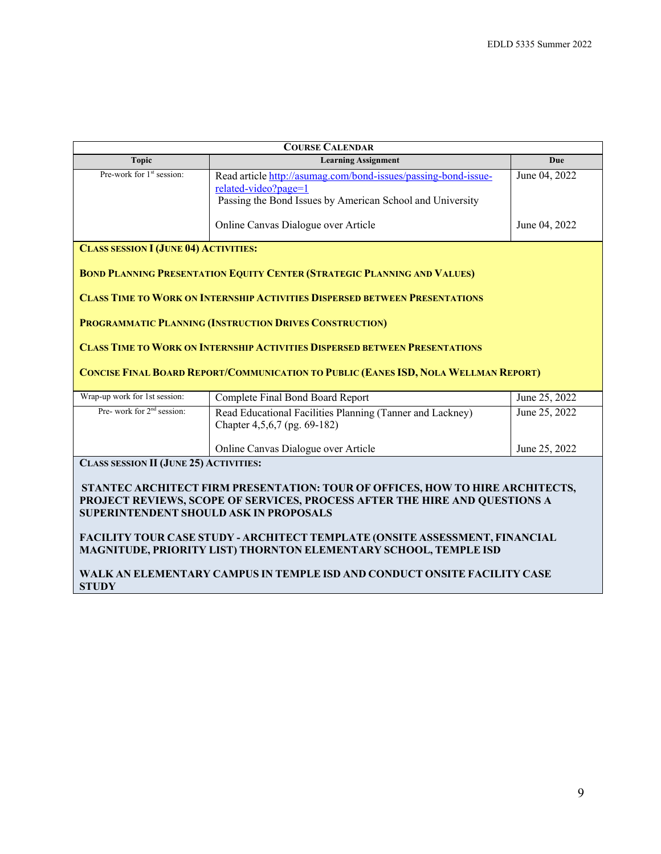| <b>COURSE CALENDAR</b>                                                                                                                                                                                       |                                                                                                                                                     |               |  |  |
|--------------------------------------------------------------------------------------------------------------------------------------------------------------------------------------------------------------|-----------------------------------------------------------------------------------------------------------------------------------------------------|---------------|--|--|
| <b>Topic</b>                                                                                                                                                                                                 | <b>Learning Assignment</b>                                                                                                                          | <b>Due</b>    |  |  |
| Pre-work for 1 <sup>st</sup> session:                                                                                                                                                                        | Read article http://asumag.com/bond-issues/passing-bond-issue-<br>related-video?page=1<br>Passing the Bond Issues by American School and University | June 04, 2022 |  |  |
|                                                                                                                                                                                                              | Online Canvas Dialogue over Article                                                                                                                 | June 04, 2022 |  |  |
| <b>CLASS SESSION I (JUNE 04) ACTIVITIES:</b>                                                                                                                                                                 |                                                                                                                                                     |               |  |  |
|                                                                                                                                                                                                              | <b>BOND PLANNING PRESENTATION EQUITY CENTER (STRATEGIC PLANNING AND VALUES)</b>                                                                     |               |  |  |
|                                                                                                                                                                                                              | <b>CLASS TIME TO WORK ON INTERNSHIP ACTIVITIES DISPERSED BETWEEN PRESENTATIONS</b>                                                                  |               |  |  |
|                                                                                                                                                                                                              | PROGRAMMATIC PLANNING (INSTRUCTION DRIVES CONSTRUCTION)                                                                                             |               |  |  |
|                                                                                                                                                                                                              | <b>CLASS TIME TO WORK ON INTERNSHIP ACTIVITIES DISPERSED BETWEEN PRESENTATIONS</b>                                                                  |               |  |  |
| <b>CONCISE FINAL BOARD REPORT/COMMUNICATION TO PUBLIC (EANES ISD, NOLA WELLMAN REPORT)</b>                                                                                                                   |                                                                                                                                                     |               |  |  |
| Wrap-up work for 1st session:                                                                                                                                                                                | Complete Final Bond Board Report                                                                                                                    | June 25, 2022 |  |  |
| Pre- work for 2 <sup>nd</sup> session:                                                                                                                                                                       | Read Educational Facilities Planning (Tanner and Lackney)<br>Chapter 4,5,6,7 (pg. 69-182)                                                           | June 25, 2022 |  |  |
|                                                                                                                                                                                                              | Online Canvas Dialogue over Article                                                                                                                 | June 25, 2022 |  |  |
| <b>CLASS SESSION II (JUNE 25) ACTIVITIES:</b>                                                                                                                                                                |                                                                                                                                                     |               |  |  |
| STANTEC ARCHITECT FIRM PRESENTATION: TOUR OF OFFICES, HOW TO HIRE ARCHITECTS,<br>PROJECT REVIEWS, SCOPE OF SERVICES, PROCESS AFTER THE HIRE AND QUESTIONS A<br><b>SUPERINTENDENT SHOULD ASK IN PROPOSALS</b> |                                                                                                                                                     |               |  |  |
| <b>FACILITY TOUR CASE STUDY - ARCHITECT TEMPLATE (ONSITE ASSESSMENT, FINANCIAL</b><br>MAGNITUDE, PRIORITY LIST) THORNTON ELEMENTARY SCHOOL, TEMPLE ISD                                                       |                                                                                                                                                     |               |  |  |
| WALK AN ELEMENTARY CAMPUS IN TEMPLE ISD AND CONDUCT ONSITE FACILITY CASE<br><b>STUDY</b>                                                                                                                     |                                                                                                                                                     |               |  |  |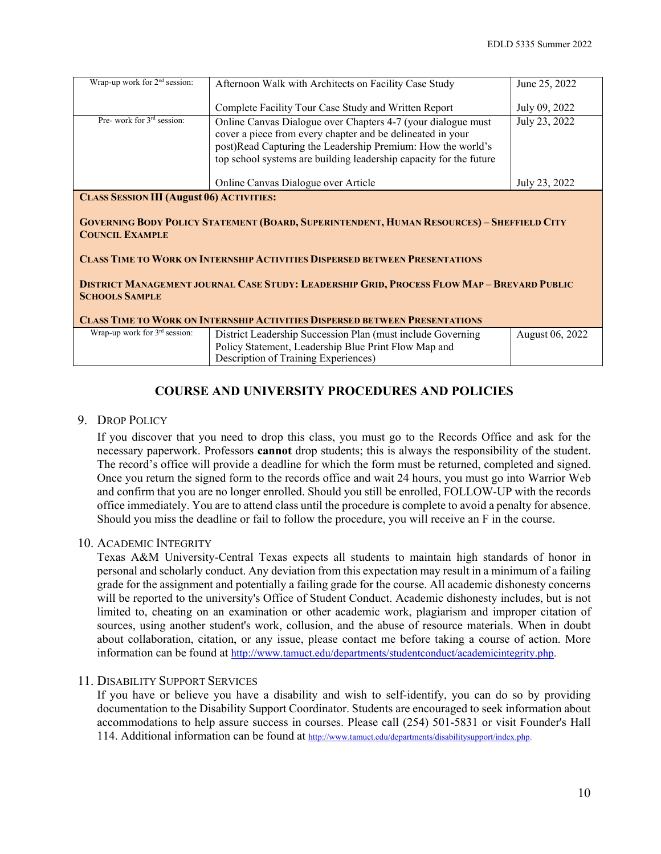| Wrap-up work for 2 <sup>nd</sup> session:                                                                                                                                                                                                                                                                                                                                                                                                                                                | Afternoon Walk with Architects on Facility Case Study                                                                                                                                                                                                           | June 25, 2022   |  |
|------------------------------------------------------------------------------------------------------------------------------------------------------------------------------------------------------------------------------------------------------------------------------------------------------------------------------------------------------------------------------------------------------------------------------------------------------------------------------------------|-----------------------------------------------------------------------------------------------------------------------------------------------------------------------------------------------------------------------------------------------------------------|-----------------|--|
|                                                                                                                                                                                                                                                                                                                                                                                                                                                                                          | Complete Facility Tour Case Study and Written Report                                                                                                                                                                                                            | July 09, 2022   |  |
| Pre- work for $3rd$ session:                                                                                                                                                                                                                                                                                                                                                                                                                                                             | Online Canvas Dialogue over Chapters 4-7 (your dialogue must<br>cover a piece from every chapter and be delineated in your<br>post)Read Capturing the Leadership Premium: How the world's<br>top school systems are building leadership capacity for the future | July 23, 2022   |  |
|                                                                                                                                                                                                                                                                                                                                                                                                                                                                                          | Online Canvas Dialogue over Article                                                                                                                                                                                                                             | July 23, 2022   |  |
| <b>CLASS SESSION III (August 06) ACTIVITIES:</b><br><b>GOVERNING BODY POLICY STATEMENT (BOARD, SUPERINTENDENT, HUMAN RESOURCES) - SHEFFIELD CITY</b><br><b>COUNCIL EXAMPLE</b><br><b>CLASS TIME TO WORK ON INTERNSHIP ACTIVITIES DISPERSED BETWEEN PRESENTATIONS</b><br><b>DISTRICT MANAGEMENT JOURNAL CASE STUDY: LEADERSHIP GRID, PROCESS FLOW MAP - BREVARD PUBLIC</b><br><b>SCHOOLS SAMPLE</b><br><b>CLASS TIME TO WORK ON INTERNSHIP ACTIVITIES DISPERSED BETWEEN PRESENTATIONS</b> |                                                                                                                                                                                                                                                                 |                 |  |
| Wrap-up work for $3rd$ session:                                                                                                                                                                                                                                                                                                                                                                                                                                                          | District Leadership Succession Plan (must include Governing)                                                                                                                                                                                                    | August 06, 2022 |  |
|                                                                                                                                                                                                                                                                                                                                                                                                                                                                                          | Policy Statement, Leadership Blue Print Flow Map and                                                                                                                                                                                                            |                 |  |
|                                                                                                                                                                                                                                                                                                                                                                                                                                                                                          | Description of Training Experiences)                                                                                                                                                                                                                            |                 |  |

# **COURSE AND UNIVERSITY PROCEDURES AND POLICIES**

# 9. DROP POLICY

If you discover that you need to drop this class, you must go to the Records Office and ask for the necessary paperwork. Professors **cannot** drop students; this is always the responsibility of the student. The record's office will provide a deadline for which the form must be returned, completed and signed. Once you return the signed form to the records office and wait 24 hours, you must go into Warrior Web and confirm that you are no longer enrolled. Should you still be enrolled, FOLLOW-UP with the records office immediately. You are to attend class until the procedure is complete to avoid a penalty for absence. Should you miss the deadline or fail to follow the procedure, you will receive an F in the course.

# 10. ACADEMIC INTEGRITY

Texas A&M University-Central Texas expects all students to maintain high standards of honor in personal and scholarly conduct. Any deviation from this expectation may result in a minimum of a failing grade for the assignment and potentially a failing grade for the course. All academic dishonesty concerns will be reported to the university's Office of Student Conduct. Academic dishonesty includes, but is not limited to, cheating on an examination or other academic work, plagiarism and improper citation of sources, using another student's work, collusion, and the abuse of resource materials. When in doubt about collaboration, citation, or any issue, please contact me before taking a course of action. More information can be found at [http://www.tamuct.edu/departments/studentconduct/academicintegrity.php.](http://www.tamuct.edu/departments/studentconduct/academicintegrity.php)

#### 11. DISABILITY SUPPORT SERVICES

If you have or believe you have a disability and wish to self-identify, you can do so by providing documentation to the Disability Support Coordinator. Students are encouraged to seek information about accommodations to help assure success in courses. Please call (254) 501-5831 or visit Founder's Hall 114. Additional information can be found at [http://www.tamuct.edu/departments/disabilitysupport/index.php.](http://www.tamuct.edu/departments/disabilitysupport/index.php)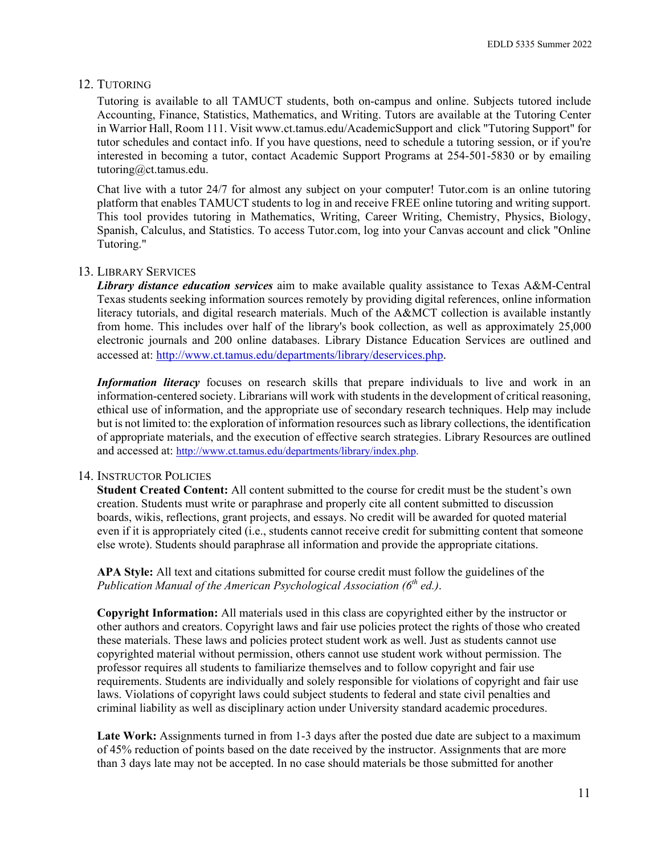#### 12. TUTORING

Tutoring is available to all TAMUCT students, both on-campus and online. Subjects tutored include Accounting, Finance, Statistics, Mathematics, and Writing. Tutors are available at the Tutoring Center in Warrior Hall, Room 111. Visi[t www.ct.tamus.edu/AcademicSupport a](http://www.ct.tamus.edu/AcademicSupport)nd click "Tutoring Support" for tutor schedules and contact info. If you have questions, need to schedule a tutoring session, or if you're interested in becoming a tutor, contact Academic Support Programs at 254-501-5830 or by emailing [tutoring@ct.tamus.edu.](mailto:tutoring@ct.tamus.edu)

Chat live with a tutor 24/7 for almost any subject on your computer! Tutor.com is an online tutoring platform that enables TAMUCT students to log in and receive FREE online tutoring and writing support. This tool provides tutoring in Mathematics, Writing, Career Writing, Chemistry, Physics, Biology, Spanish, Calculus, and Statistics. To access Tutor.com, log into your Canvas account and click "Online Tutoring."

#### 13. LIBRARY SERVICES

*Library distance education services* aim to make available quality assistance to Texas A&M-Central Texas students seeking information sources remotely by providing digital references, online information literacy tutorials, and digital research materials. Much of the A&MCT collection is available instantly from home. This includes over half of the library's book collection, as well as approximately 25,000 electronic journals and 200 online databases. Library Distance Education Services are outlined and accessed at: [http://www.ct.tamus.edu/departments/library/deservices.php.](http://www.ct.tamus.edu/departments/library/deservices.php)

*Information literacy* focuses on research skills that prepare individuals to live and work in an information-centered society. Librarians will work with students in the development of critical reasoning, ethical use of information, and the appropriate use of secondary research techniques. Help may include but is not limited to: the exploration of information resources such as library collections, the identification of appropriate materials, and the execution of effective search strategies. Library Resources are outlined and accessed at: [http://www.ct.tamus.edu/departments/library/index.php.](http://www.ct.tamus.edu/departments/library/index.php)

#### 14. INSTRUCTOR POLICIES

**Student Created Content:** All content submitted to the course for credit must be the student's own creation. Students must write or paraphrase and properly cite all content submitted to discussion boards, wikis, reflections, grant projects, and essays. No credit will be awarded for quoted material even if it is appropriately cited (i.e., students cannot receive credit for submitting content that someone else wrote). Students should paraphrase all information and provide the appropriate citations.

**APA Style:** All text and citations submitted for course credit must follow the guidelines of the *Publication Manual of the American Psychological Association (6th ed.)*.

**Copyright Information:** All materials used in this class are copyrighted either by the instructor or other authors and creators. Copyright laws and fair use policies protect the rights of those who created these materials. These laws and policies protect student work as well. Just as students cannot use copyrighted material without permission, others cannot use student work without permission. The professor requires all students to familiarize themselves and to follow copyright and fair use requirements. Students are individually and solely responsible for violations of copyright and fair use laws. Violations of copyright laws could subject students to federal and state civil penalties and criminal liability as well as disciplinary action under University standard academic procedures.

Late Work: Assignments turned in from 1-3 days after the posted due date are subject to a maximum of 45% reduction of points based on the date received by the instructor. Assignments that are more than 3 days late may not be accepted. In no case should materials be those submitted for another